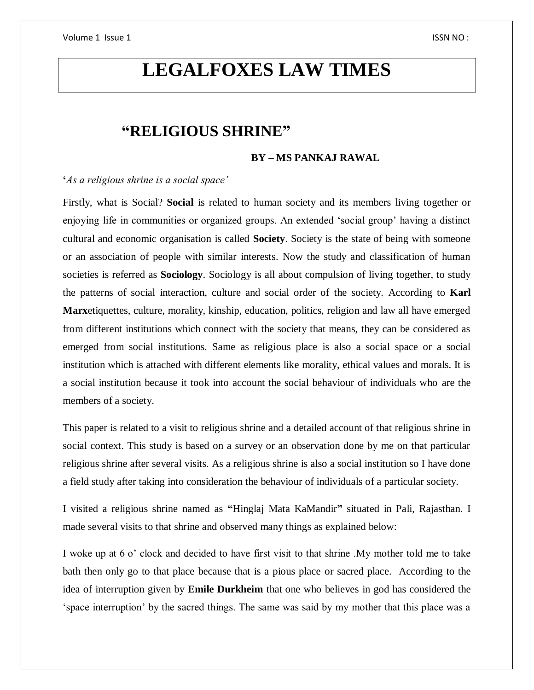# **LEGALFOXES LAW TIMES**

# **"RELIGIOUS SHRINE"**

### **BY – MS PANKAJ RAWAL**

### **'***As a religious shrine is a social space'*

Firstly, what is Social? **Social** is related to human society and its members living together or enjoying life in communities or organized groups. An extended 'social group' having a distinct cultural and economic organisation is called **Society**. Society is the state of being with someone or an association of people with similar interests. Now the study and classification of human societies is referred as **Sociology**. Sociology is all about compulsion of living together, to study the patterns of social interaction, culture and social order of the society. According to **Karl Marx**etiquettes, culture, morality, kinship, education, politics, religion and law all have emerged from different institutions which connect with the society that means, they can be considered as emerged from social institutions. Same as religious place is also a social space or a social institution which is attached with different elements like morality, ethical values and morals. It is a social institution because it took into account the social behaviour of individuals who are the members of a society.

This paper is related to a visit to religious shrine and a detailed account of that religious shrine in social context. This study is based on a survey or an observation done by me on that particular religious shrine after several visits. As a religious shrine is also a social institution so I have done a field study after taking into consideration the behaviour of individuals of a particular society.

I visited a religious shrine named as **"**Hinglaj Mata KaMandir**"** situated in Pali, Rajasthan. I made several visits to that shrine and observed many things as explained below:

I woke up at 6 o' clock and decided to have first visit to that shrine .My mother told me to take bath then only go to that place because that is a pious place or sacred place. According to the idea of interruption given by **Emile Durkheim** that one who believes in god has considered the 'space interruption' by the sacred things. The same was said by my mother that this place was a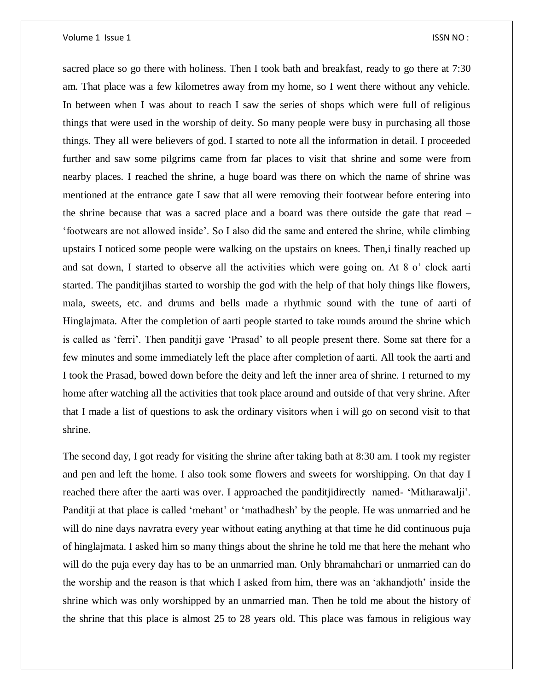sacred place so go there with holiness. Then I took bath and breakfast, ready to go there at 7:30 am. That place was a few kilometres away from my home, so I went there without any vehicle. In between when I was about to reach I saw the series of shops which were full of religious things that were used in the worship of deity. So many people were busy in purchasing all those things. They all were believers of god. I started to note all the information in detail. I proceeded further and saw some pilgrims came from far places to visit that shrine and some were from nearby places. I reached the shrine, a huge board was there on which the name of shrine was mentioned at the entrance gate I saw that all were removing their footwear before entering into the shrine because that was a sacred place and a board was there outside the gate that read – 'footwears are not allowed inside'. So I also did the same and entered the shrine, while climbing upstairs I noticed some people were walking on the upstairs on knees. Then,i finally reached up and sat down, I started to observe all the activities which were going on. At 8 o' clock aarti started. The panditjihas started to worship the god with the help of that holy things like flowers, mala, sweets, etc. and drums and bells made a rhythmic sound with the tune of aarti of Hinglajmata. After the completion of aarti people started to take rounds around the shrine which is called as 'ferri'. Then panditji gave 'Prasad' to all people present there. Some sat there for a few minutes and some immediately left the place after completion of aarti. All took the aarti and I took the Prasad, bowed down before the deity and left the inner area of shrine. I returned to my home after watching all the activities that took place around and outside of that very shrine. After that I made a list of questions to ask the ordinary visitors when i will go on second visit to that shrine.

The second day, I got ready for visiting the shrine after taking bath at 8:30 am. I took my register and pen and left the home. I also took some flowers and sweets for worshipping. On that day I reached there after the aarti was over. I approached the panditjidirectly named- 'Mitharawalji'. Panditji at that place is called 'mehant' or 'mathadhesh' by the people. He was unmarried and he will do nine days navratra every year without eating anything at that time he did continuous puja of hinglajmata. I asked him so many things about the shrine he told me that here the mehant who will do the puja every day has to be an unmarried man. Only bhramahchari or unmarried can do the worship and the reason is that which I asked from him, there was an 'akhandjoth' inside the shrine which was only worshipped by an unmarried man. Then he told me about the history of the shrine that this place is almost 25 to 28 years old. This place was famous in religious way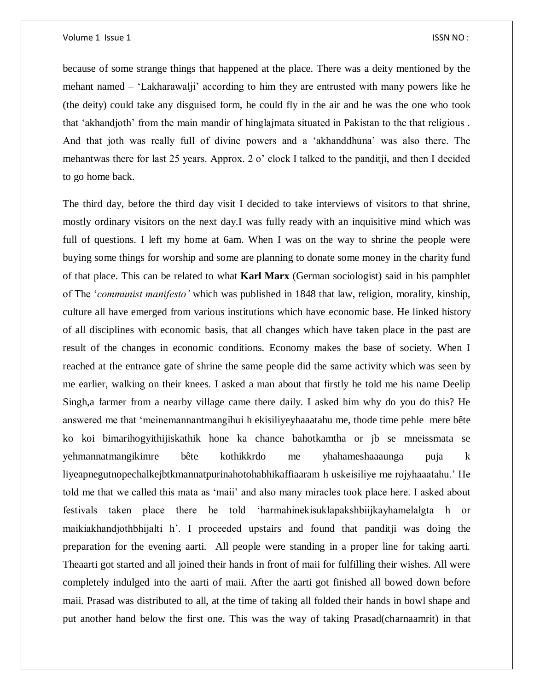because of some strange things that happened at the place. There was a deity mentioned by the mehant named – 'Lakharawalji' according to him they are entrusted with many powers like he (the deity) could take any disguised form, he could fly in the air and he was the one who took that 'akhandjoth' from the main mandir of hinglajmata situated in Pakistan to the that religious . And that joth was really full of divine powers and a 'akhanddhuna' was also there. The mehantwas there for last 25 years. Approx. 2 o' clock I talked to the panditji, and then I decided to go home back.

The third day, before the third day visit I decided to take interviews of visitors to that shrine, mostly ordinary visitors on the next day.I was fully ready with an inquisitive mind which was full of questions. I left my home at 6am. When I was on the way to shrine the people were buying some things for worship and some are planning to donate some money in the charity fund of that place. This can be related to what **Karl Marx** (German sociologist) said in his pamphlet of The '*communist manifesto'* which was published in 1848 that law, religion, morality, kinship, culture all have emerged from various institutions which have economic base. He linked history of all disciplines with economic basis, that all changes which have taken place in the past are result of the changes in economic conditions. Economy makes the base of society. When I reached at the entrance gate of shrine the same people did the same activity which was seen by me earlier, walking on their knees. I asked a man about that firstly he told me his name Deelip Singh,a farmer from a nearby village came there daily. I asked him why do you do this? He answered me that 'meinemannantmangihui h ekisiliyeyhaaatahu me, thode time pehle mere bête ko koi bimarihogyithijiskathik hone ka chance bahotkamtha or jb se mneissmata se yehmannatmangikimre bête kothikkrdo me yhahameshaaaunga puja k liyeapnegutnopechalkejbtkmannatpurinahotohabhikaffiaaram h uskeisiliye me rojyhaaatahu.' He told me that we called this mata as 'maii' and also many miracles took place here. I asked about festivals taken place there he told 'harmahinekisuklapakshbiijkayhamelalgta h or maikiakhandjothbhijalti h'. I proceeded upstairs and found that panditji was doing the preparation for the evening aarti. All people were standing in a proper line for taking aarti. Theaarti got started and all joined their hands in front of maii for fulfilling their wishes. All were completely indulged into the aarti of maii. After the aarti got finished all bowed down before maii. Prasad was distributed to all, at the time of taking all folded their hands in bowl shape and put another hand below the first one. This was the way of taking Prasad(charnaamrit) in that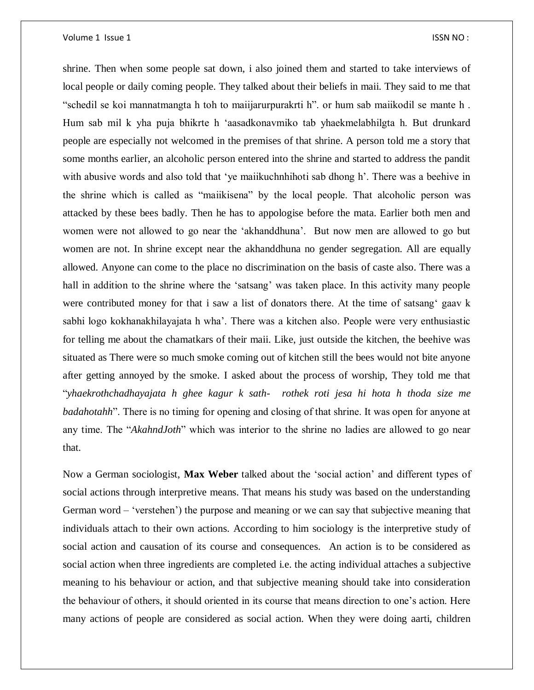shrine. Then when some people sat down, i also joined them and started to take interviews of local people or daily coming people. They talked about their beliefs in maii. They said to me that "schedil se koi mannatmangta h toh to maiijarurpurakrti h". or hum sab maiikodil se mante h . Hum sab mil k yha puja bhikrte h 'aasadkonavmiko tab yhaekmelabhilgta h. But drunkard people are especially not welcomed in the premises of that shrine. A person told me a story that some months earlier, an alcoholic person entered into the shrine and started to address the pandit with abusive words and also told that 'ye maiikuchnhihoti sab dhong h'. There was a beehive in the shrine which is called as "maiikisena" by the local people. That alcoholic person was attacked by these bees badly. Then he has to appologise before the mata. Earlier both men and women were not allowed to go near the 'akhanddhuna'. But now men are allowed to go but women are not. In shrine except near the akhanddhuna no gender segregation. All are equally allowed. Anyone can come to the place no discrimination on the basis of caste also. There was a hall in addition to the shrine where the 'satsang' was taken place. In this activity many people were contributed money for that i saw a list of donators there. At the time of satsang' gaav k sabhi logo kokhanakhilayajata h wha'. There was a kitchen also. People were very enthusiastic for telling me about the chamatkars of their maii. Like, just outside the kitchen, the beehive was situated as There were so much smoke coming out of kitchen still the bees would not bite anyone after getting annoyed by the smoke. I asked about the process of worship, They told me that "*yhaekrothchadhayajata h ghee kagur k sath- rothek roti jesa hi hota h thoda size me badahotahh*". There is no timing for opening and closing of that shrine. It was open for anyone at any time. The "*AkahndJoth*" which was interior to the shrine no ladies are allowed to go near that.

Now a German sociologist, **Max Weber** talked about the 'social action' and different types of social actions through interpretive means. That means his study was based on the understanding German word – 'verstehen') the purpose and meaning or we can say that subjective meaning that individuals attach to their own actions. According to him sociology is the interpretive study of social action and causation of its course and consequences. An action is to be considered as social action when three ingredients are completed i.e. the acting individual attaches a subjective meaning to his behaviour or action, and that subjective meaning should take into consideration the behaviour of others, it should oriented in its course that means direction to one's action. Here many actions of people are considered as social action. When they were doing aarti, children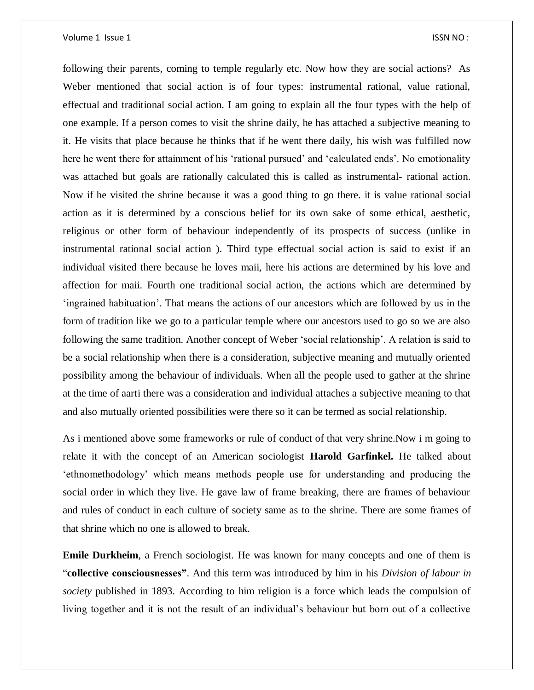following their parents, coming to temple regularly etc. Now how they are social actions? As Weber mentioned that social action is of four types: instrumental rational, value rational, effectual and traditional social action. I am going to explain all the four types with the help of one example. If a person comes to visit the shrine daily, he has attached a subjective meaning to it. He visits that place because he thinks that if he went there daily, his wish was fulfilled now here he went there for attainment of his 'rational pursued' and 'calculated ends'. No emotionality was attached but goals are rationally calculated this is called as instrumental- rational action. Now if he visited the shrine because it was a good thing to go there. it is value rational social action as it is determined by a conscious belief for its own sake of some ethical, aesthetic, religious or other form of behaviour independently of its prospects of success (unlike in instrumental rational social action ). Third type effectual social action is said to exist if an individual visited there because he loves maii, here his actions are determined by his love and affection for maii. Fourth one traditional social action, the actions which are determined by 'ingrained habituation'. That means the actions of our ancestors which are followed by us in the form of tradition like we go to a particular temple where our ancestors used to go so we are also following the same tradition. Another concept of Weber 'social relationship'. A relation is said to be a social relationship when there is a consideration, subjective meaning and mutually oriented possibility among the behaviour of individuals. When all the people used to gather at the shrine at the time of aarti there was a consideration and individual attaches a subjective meaning to that and also mutually oriented possibilities were there so it can be termed as social relationship.

As i mentioned above some frameworks or rule of conduct of that very shrine.Now i m going to relate it with the concept of an American sociologist **Harold Garfinkel.** He talked about 'ethnomethodology' which means methods people use for understanding and producing the social order in which they live. He gave law of frame breaking, there are frames of behaviour and rules of conduct in each culture of society same as to the shrine. There are some frames of that shrine which no one is allowed to break.

**Emile Durkheim**, a French sociologist. He was known for many concepts and one of them is "**collective consciousnesses"**. And this term was introduced by him in his *Division of labour in society* published in 1893. According to him religion is a force which leads the compulsion of living together and it is not the result of an individual's behaviour but born out of a collective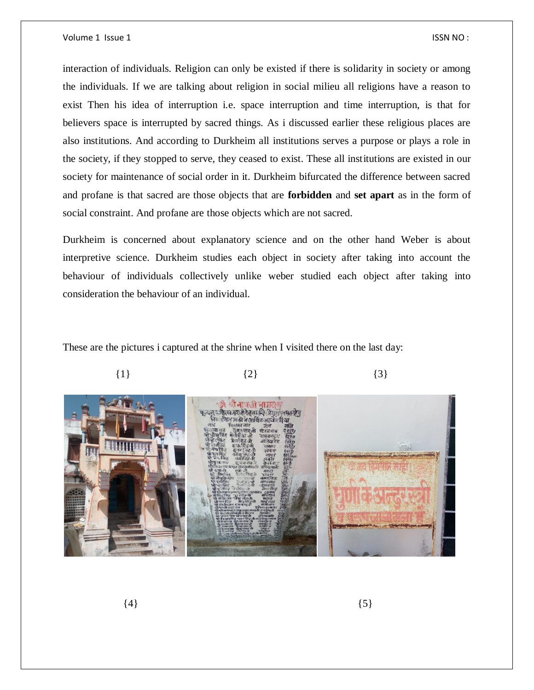interaction of individuals. Religion can only be existed if there is solidarity in society or among the individuals. If we are talking about religion in social milieu all religions have a reason to exist Then his idea of interruption i.e. space interruption and time interruption, is that for believers space is interrupted by sacred things. As i discussed earlier these religious places are also institutions. And according to Durkheim all institutions serves a purpose or plays a role in the society, if they stopped to serve, they ceased to exist. These all institutions are existed in our society for maintenance of social order in it. Durkheim bifurcated the difference between sacred and profane is that sacred are those objects that are **forbidden** and **set apart** as in the form of social constraint. And profane are those objects which are not sacred.

Durkheim is concerned about explanatory science and on the other hand Weber is about interpretive science. Durkheim studies each object in society after taking into account the behaviour of individuals collectively unlike weber studied each object after taking into consideration the behaviour of an individual.

These are the pictures i captured at the shrine when I visited there on the last day:



 $\{4\}$  (5)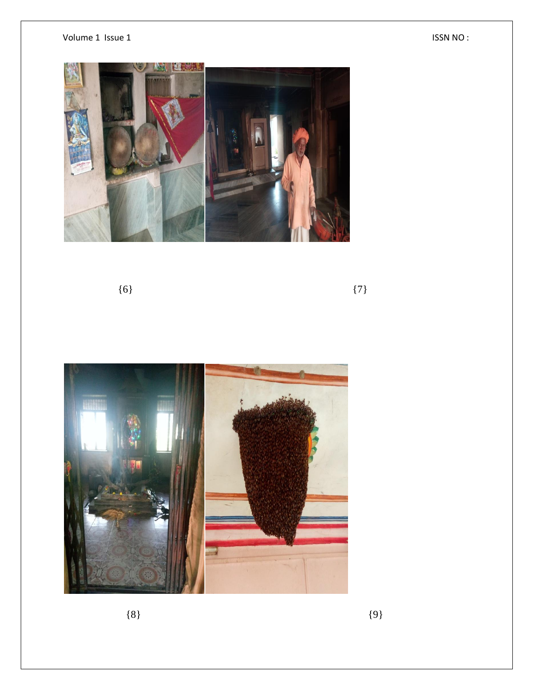

 $\{6\}$  {7}